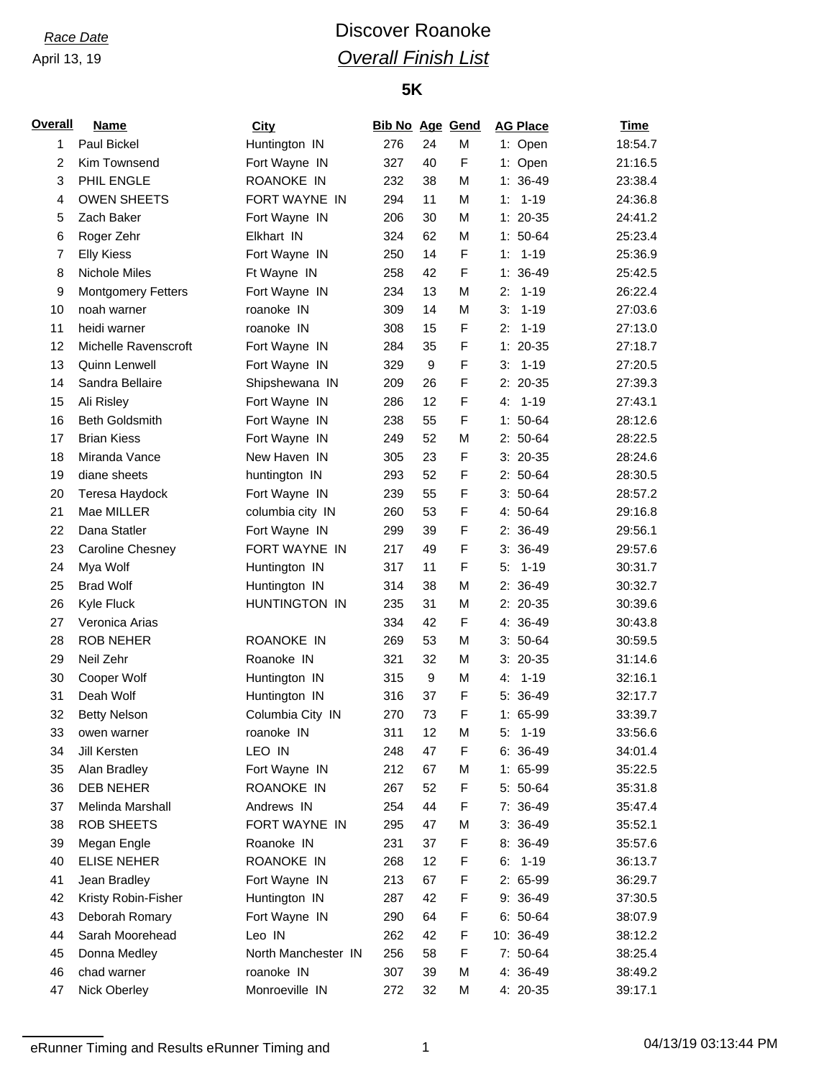# *Race Date* **Discover Roanoke** *Overall Finish List*

### **5K**

| <b>Overall</b> | <b>Name</b>               | <b>City</b>         | <b>Bib No Age Gend</b> |                  |   |      | <b>AG Place</b> | <b>Time</b> |
|----------------|---------------------------|---------------------|------------------------|------------------|---|------|-----------------|-------------|
| 1              | Paul Bickel               | Huntington IN       | 276                    | 24               | M |      | 1: Open         | 18:54.7     |
| 2              | Kim Townsend              | Fort Wayne IN       | 327                    | 40               | F |      | 1: Open         | 21:16.5     |
| 3              | PHIL ENGLE                | ROANOKE IN          | 232                    | 38               | M |      | $1: 36-49$      | 23:38.4     |
| 4              | <b>OWEN SHEETS</b>        | FORT WAYNE IN       | 294                    | 11               | M | 1: . | $1 - 19$        | 24:36.8     |
| 5              | Zach Baker                | Fort Wayne IN       | 206                    | 30               | M |      | $1: 20-35$      | 24:41.2     |
| 6              | Roger Zehr                | Elkhart IN          | 324                    | 62               | М |      | $1: 50-64$      | 25:23.4     |
| $\overline{7}$ | <b>Elly Kiess</b>         | Fort Wayne IN       | 250                    | 14               | F | 1:   | $1 - 19$        | 25:36.9     |
| 8              | Nichole Miles             | Ft Wayne IN         | 258                    | 42               | F |      | $1: 36-49$      | 25:42.5     |
| 9              | <b>Montgomery Fetters</b> | Fort Wayne IN       | 234                    | 13               | M | 2:   | $1 - 19$        | 26:22.4     |
| 10             | noah warner               | roanoke IN          | 309                    | 14               | М | 3:   | $1 - 19$        | 27:03.6     |
| 11             | heidi warner              | roanoke IN          | 308                    | 15               | F | 2:   | $1 - 19$        | 27:13.0     |
| 12             | Michelle Ravenscroft      | Fort Wayne IN       | 284                    | 35               | F |      | $1: 20-35$      | 27:18.7     |
| 13             | Quinn Lenwell             | Fort Wayne IN       | 329                    | $\boldsymbol{9}$ | F | 3:   | $1 - 19$        | 27:20.5     |
| 14             | Sandra Bellaire           | Shipshewana IN      | 209                    | 26               | F |      | $2: 20-35$      | 27:39.3     |
| 15             | Ali Risley                | Fort Wayne IN       | 286                    | 12               | F | 4.   | $1 - 19$        | 27:43.1     |
| 16             | <b>Beth Goldsmith</b>     | Fort Wayne IN       | 238                    | 55               | F |      | $1: 50-64$      | 28:12.6     |
| 17             | <b>Brian Kiess</b>        | Fort Wayne IN       | 249                    | 52               | M |      | $2: 50-64$      | 28:22.5     |
| 18             | Miranda Vance             | New Haven IN        | 305                    | 23               | F |      | $3: 20-35$      | 28:24.6     |
| 19             | diane sheets              | huntington IN       | 293                    | 52               | F |      | $2: 50-64$      | 28:30.5     |
| 20             | Teresa Haydock            | Fort Wayne IN       | 239                    | 55               | F |      | $3:50-64$       | 28:57.2     |
| 21             | Mae MILLER                | columbia city IN    | 260                    | 53               | F |      | 4: 50-64        | 29:16.8     |
| 22             | Dana Statler              | Fort Wayne IN       | 299                    | 39               | F |      | $2: 36-49$      | 29:56.1     |
| 23             | Caroline Chesney          | FORT WAYNE IN       | 217                    | 49               | F |      | $3:36-49$       | 29:57.6     |
| 24             | Mya Wolf                  | Huntington IN       | 317                    | 11               | F | 5:   | $1 - 19$        | 30:31.7     |
| 25             | <b>Brad Wolf</b>          | Huntington IN       | 314                    | 38               | M |      | $2: 36-49$      | 30:32.7     |
| 26             | Kyle Fluck                | HUNTINGTON IN       | 235                    | 31               | М |      | $2: 20-35$      | 30:39.6     |
| 27             | Veronica Arias            |                     | 334                    | 42               | F |      | 4: 36-49        | 30:43.8     |
| 28             | <b>ROB NEHER</b>          | ROANOKE IN          | 269                    | 53               | М |      | $3:50-64$       | 30:59.5     |
| 29             | Neil Zehr                 | Roanoke IN          | 321                    | 32               | M |      | $3: 20-35$      | 31:14.6     |
| 30             | Cooper Wolf               | Huntington IN       | 315                    | 9                | М | 4:   | $1 - 19$        | 32:16.1     |
| 31             | Deah Wolf                 | Huntington IN       | 316                    | 37               | F |      | $5:36-49$       | 32:17.7     |
| 32             | <b>Betty Nelson</b>       | Columbia City IN    | 270                    | 73               | F |      | 1: 65-99        | 33:39.7     |
| 33             | owen warner               | roanoke IN          | 311                    | 12               | М | 5:   | 1-19            | 33:56.6     |
| 34             | Jill Kersten              | LEO IN              | 248                    | 47               | F |      | $6: 36-49$      | 34:01.4     |
| 35             | Alan Bradley              | Fort Wayne IN       | 212                    | 67               | M |      | $1: 65-99$      | 35:22.5     |
| 36             | DEB NEHER                 | ROANOKE IN          | 267                    | 52               | F |      | 5: 50-64        | 35:31.8     |
| 37             | Melinda Marshall          | Andrews IN          | 254                    | 44               | F |      | 7: 36-49        | 35:47.4     |
| 38             | <b>ROB SHEETS</b>         | FORT WAYNE IN       | 295                    | 47               | М |      | $3:36-49$       | 35:52.1     |
| 39             | Megan Engle               | Roanoke IN          | 231                    | 37               | F |      | $8:36-49$       | 35:57.6     |
| 40             | <b>ELISE NEHER</b>        | ROANOKE IN          | 268                    | 12               | F |      | $6: 1-19$       | 36:13.7     |
| 41             | Jean Bradley              | Fort Wayne IN       | 213                    | 67               | F |      | 2: 65-99        | 36:29.7     |
| 42             | Kristy Robin-Fisher       | Huntington IN       | 287                    | 42               | F |      | 9: 36-49        | 37:30.5     |
| 43             | Deborah Romary            | Fort Wayne IN       | 290                    | 64               | F |      | $6: 50-64$      | 38:07.9     |
| 44             | Sarah Moorehead           | Leo IN              | 262                    | 42               | F |      | 10: 36-49       | 38:12.2     |
| 45             | Donna Medley              | North Manchester IN | 256                    | 58               | F |      | 7: 50-64        | 38:25.4     |
| 46             | chad warner               | roanoke IN          | 307                    | 39               | M |      | 4: 36-49        | 38:49.2     |
| 47             | Nick Oberley              | Monroeville IN      | 272                    | 32               | М |      | 4: 20-35        | 39:17.1     |
|                |                           |                     |                        |                  |   |      |                 |             |

eRunner Timing and Results eRunner Timing and 1 04/13/19 03:13:44 PM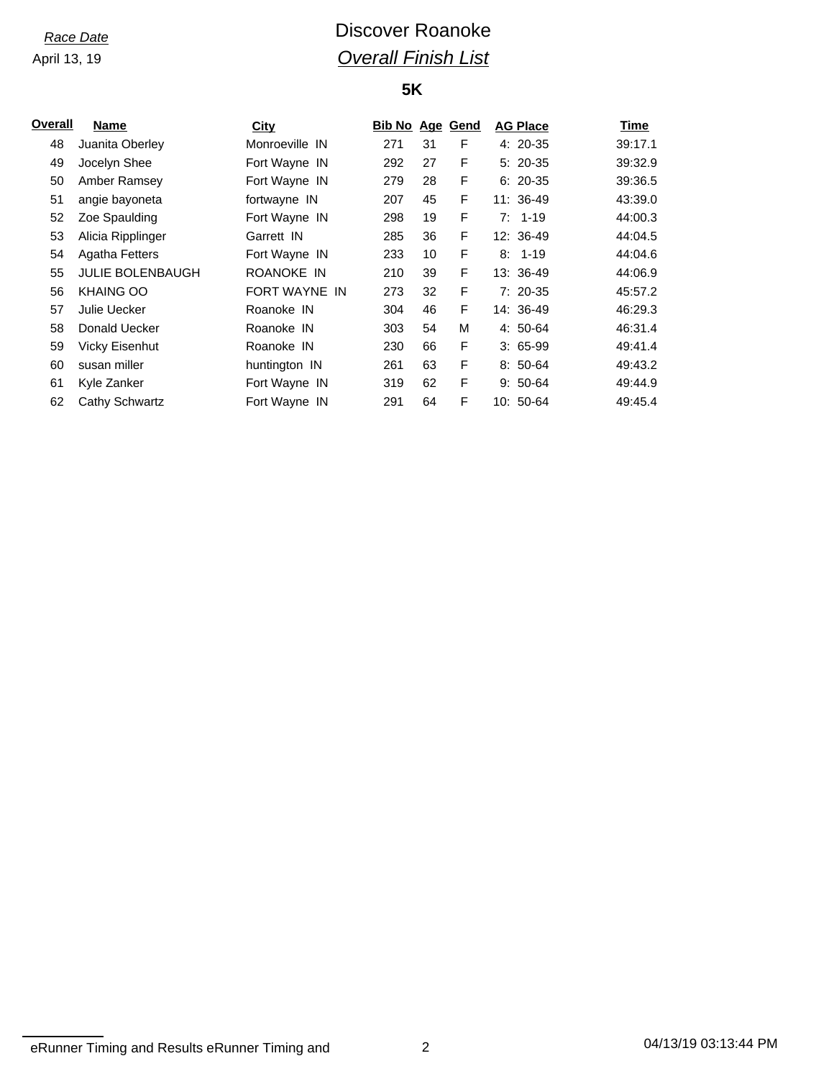# *Race Date* **Discover Roanoke** *Overall Finish List*

### **5K**

| Overall | Name                    | City           | <b>Bib No Age Gend</b> |    |   | <b>AG Place</b> | Time    |
|---------|-------------------------|----------------|------------------------|----|---|-----------------|---------|
| 48      | Juanita Oberley         | Monroeville IN | 271                    | 31 | F | 4: 20-35        | 39:17.1 |
| 49      | Jocelyn Shee            | Fort Wayne IN  | 292                    | 27 | F | $5:20-35$       | 39:32.9 |
| 50      | Amber Ramsey            | Fort Wayne IN  | 279                    | 28 | F | $6: 20-35$      | 39:36.5 |
| 51      | angie bayoneta          | fortwayne IN   | 207                    | 45 | F | $11:36-49$      | 43:39.0 |
| 52      | Zoe Spaulding           | Fort Wayne IN  | 298                    | 19 | F | $7: 1-19$       | 44:00.3 |
| 53      | Alicia Ripplinger       | Garrett IN     | 285                    | 36 | F | 12: 36-49       | 44:04.5 |
| 54      | Agatha Fetters          | Fort Wayne IN  | 233                    | 10 | F | $8: 1-19$       | 44:04.6 |
| 55      | <b>JULIE BOLENBAUGH</b> | ROANOKE IN     | 210                    | 39 | F | 13: 36-49       | 44:06.9 |
| 56      | <b>KHAING OO</b>        | FORT WAYNE IN  | 273                    | 32 | F | $7:20-35$       | 45:57.2 |
| 57      | Julie Uecker            | Roanoke IN     | 304                    | 46 | F | 14: 36-49       | 46:29.3 |
| 58      | Donald Uecker           | Roanoke IN     | 303                    | 54 | M | $4:50-64$       | 46:31.4 |
| 59      | Vicky Eisenhut          | Roanoke IN     | 230                    | 66 | F | $3:65-99$       | 49:41.4 |
| 60      | susan miller            | huntington IN  | 261                    | 63 | F | $8:50-64$       | 49:43.2 |
| 61      | Kyle Zanker             | Fort Wayne IN  | 319                    | 62 | F | $9:50-64$       | 49:44.9 |
| 62      | Cathy Schwartz          | Fort Wayne IN  | 291                    | 64 | F | 10: 50-64       | 49:45.4 |
|         |                         |                |                        |    |   |                 |         |

eRunner Timing and Results eRunner Timing and 2 1 and 2 1 and 2 1 and 2 1 and 2 1 and 2 1 and 2 1 and 2 1 and 2 1 and 2 1 and 2 1 and 2 1 and 2 1 and 2 1 and 2 1 and 2 1 and 2 1 and 2 1 and 2 1 and 2 1 and 2 1 and 2 1 and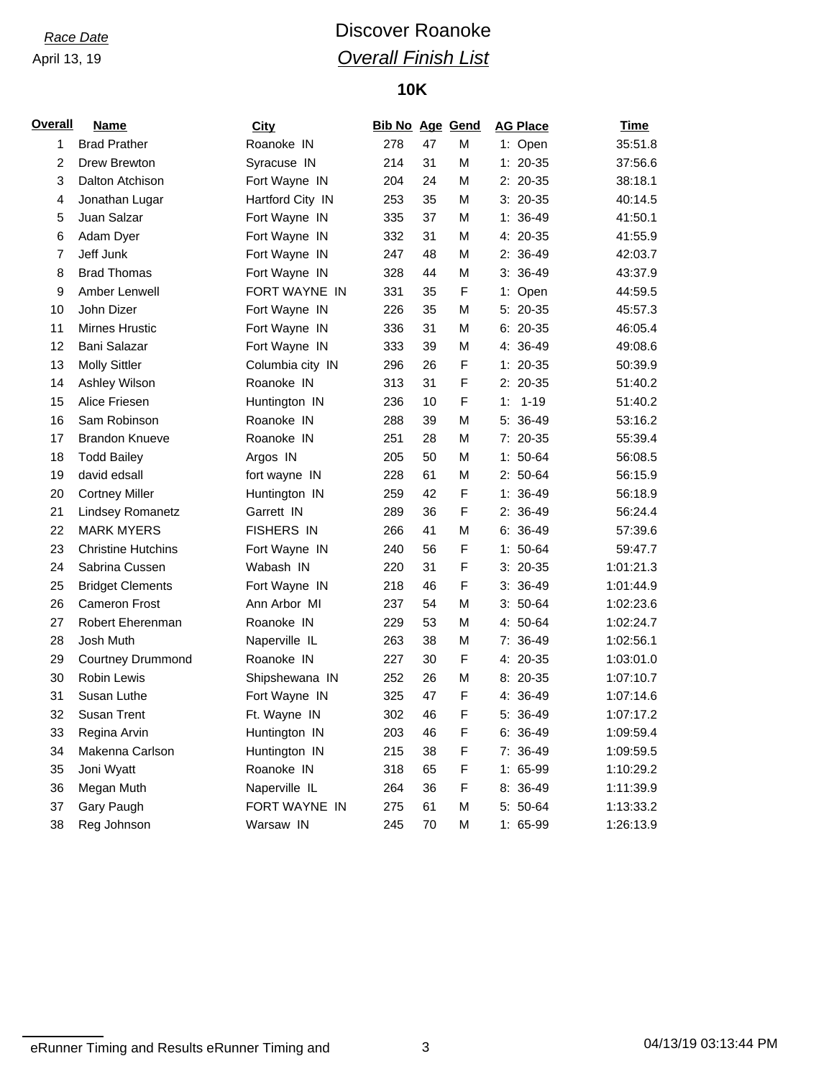# *Race Date* **Discover Roanoke** *Overall Finish List*

## **10K**

| <u>Overall</u> | <b>Name</b>               | City              | <b>Bib No Age Gend</b> |    |   | <b>AG Place</b> | <u>Time</u> |
|----------------|---------------------------|-------------------|------------------------|----|---|-----------------|-------------|
| 1              | <b>Brad Prather</b>       | Roanoke IN        | 278                    | 47 | M | 1: Open         | 35:51.8     |
| $\overline{2}$ | Drew Brewton              | Syracuse IN       | 214                    | 31 | M | $1: 20-35$      | 37:56.6     |
| 3              | Dalton Atchison           | Fort Wayne IN     | 204                    | 24 | M | $2: 20-35$      | 38:18.1     |
| 4              | Jonathan Lugar            | Hartford City IN  | 253                    | 35 | M | $3:20-35$       | 40:14.5     |
| 5              | Juan Salzar               | Fort Wayne IN     | 335                    | 37 | M | $1: 36-49$      | 41:50.1     |
| 6              | Adam Dyer                 | Fort Wayne IN     | 332                    | 31 | M | 4: 20-35        | 41:55.9     |
| $\overline{7}$ | Jeff Junk                 | Fort Wayne IN     | 247                    | 48 | M | 2: 36-49        | 42:03.7     |
| 8              | <b>Brad Thomas</b>        | Fort Wayne IN     | 328                    | 44 | M | $3:36-49$       | 43:37.9     |
| 9              | Amber Lenwell             | FORT WAYNE IN     | 331                    | 35 | F | 1: Open         | 44:59.5     |
| 10             | John Dizer                | Fort Wayne IN     | 226                    | 35 | M | 5: 20-35        | 45:57.3     |
| 11             | <b>Mirnes Hrustic</b>     | Fort Wayne IN     | 336                    | 31 | M | $6: 20-35$      | 46:05.4     |
| 12             | Bani Salazar              | Fort Wayne IN     | 333                    | 39 | M | 4: 36-49        | 49:08.6     |
| 13             | <b>Molly Sittler</b>      | Columbia city IN  | 296                    | 26 | F | $1: 20-35$      | 50:39.9     |
| 14             | Ashley Wilson             | Roanoke IN        | 313                    | 31 | F | $2: 20-35$      | 51:40.2     |
| 15             | Alice Friesen             | Huntington IN     | 236                    | 10 | F | $1 - 19$<br>1:  | 51:40.2     |
| 16             | Sam Robinson              | Roanoke IN        | 288                    | 39 | М | 5: 36-49        | 53:16.2     |
| 17             | <b>Brandon Knueve</b>     | Roanoke IN        | 251                    | 28 | M | 7: 20-35        | 55:39.4     |
| 18             | <b>Todd Bailey</b>        | Argos IN          | 205                    | 50 | M | $1: 50-64$      | 56:08.5     |
| 19             | david edsall              | fort wayne IN     | 228                    | 61 | M | $2: 50-64$      | 56:15.9     |
| 20             | <b>Cortney Miller</b>     | Huntington IN     | 259                    | 42 | F | $1:36-49$       | 56:18.9     |
| 21             | <b>Lindsey Romanetz</b>   | Garrett IN        | 289                    | 36 | F | 2: 36-49        | 56:24.4     |
| 22             | <b>MARK MYERS</b>         | <b>FISHERS IN</b> | 266                    | 41 | M | $6:36-49$       | 57:39.6     |
| 23             | <b>Christine Hutchins</b> | Fort Wayne IN     | 240                    | 56 | F | $1: 50-64$      | 59:47.7     |
| 24             | Sabrina Cussen            | Wabash IN         | 220                    | 31 | F | $3: 20-35$      | 1:01:21.3   |
| 25             | <b>Bridget Clements</b>   | Fort Wayne IN     | 218                    | 46 | F | $3:36-49$       | 1:01:44.9   |
| 26             | <b>Cameron Frost</b>      | Ann Arbor MI      | 237                    | 54 | M | $3: 50-64$      | 1:02:23.6   |
| 27             | Robert Eherenman          | Roanoke IN        | 229                    | 53 | M | 4: 50-64        | 1:02:24.7   |
| 28             | Josh Muth                 | Naperville IL     | 263                    | 38 | M | $7:36-49$       | 1:02:56.1   |
| 29             | <b>Courtney Drummond</b>  | Roanoke IN        | 227                    | 30 | F | 4: 20-35        | 1:03:01.0   |
| 30             | <b>Robin Lewis</b>        | Shipshewana IN    | 252                    | 26 | M | $8:20-35$       | 1:07:10.7   |
| 31             | Susan Luthe               | Fort Wayne IN     | 325                    | 47 | F | 4: 36-49        | 1:07:14.6   |
| 32             | Susan Trent               | Ft. Wayne IN      | 302                    | 46 | F | 5: 36-49        | 1:07:17.2   |
| 33             | Regina Arvin              | Huntington IN     | 203                    | 46 | F | $6: 36-49$      | 1:09:59.4   |
| 34             | Makenna Carlson           | Huntington IN     | 215                    | 38 | F | 7: 36-49        | 1:09:59.5   |
| 35             | Joni Wyatt                | Roanoke IN        | 318                    | 65 | F | $1: 65-99$      | 1:10:29.2   |
| 36             | Megan Muth                | Naperville IL     | 264                    | 36 | F | 8: 36-49        | 1:11:39.9   |
| 37             | Gary Paugh                | FORT WAYNE IN     | 275                    | 61 | M | 5: 50-64        | 1:13:33.2   |
| 38             | Reg Johnson               | Warsaw IN         | 245                    | 70 | M | $1: 65-99$      | 1:26:13.9   |

eRunner Timing and Results eRunner Timing and 3 13:44 PM